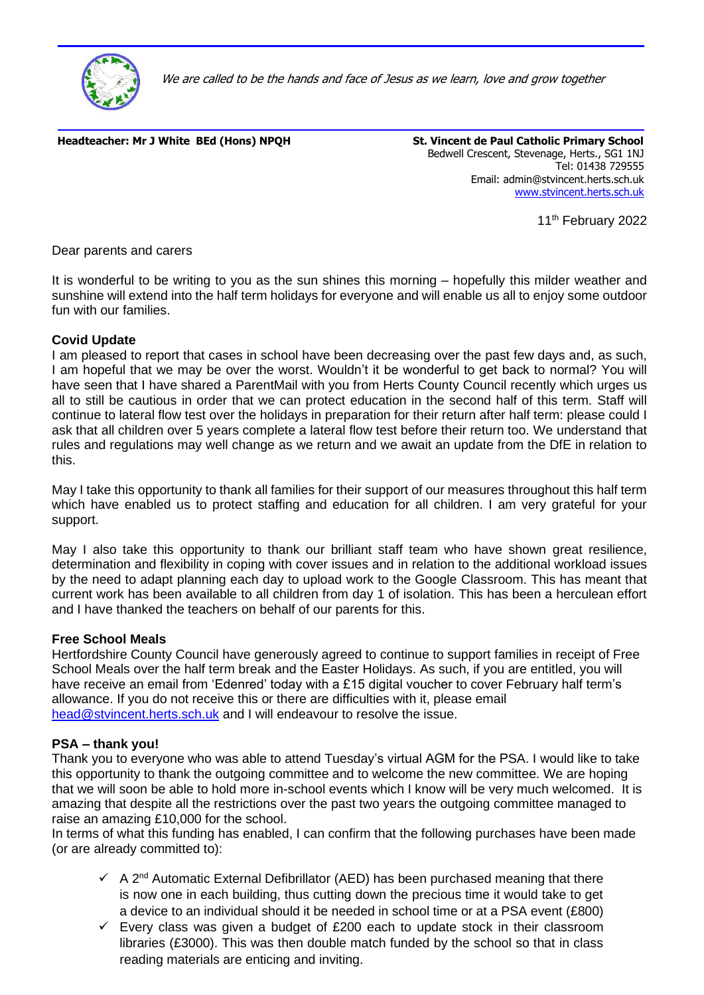

We are called to be the hands and face of Jesus as we learn, love and grow together

**Headteacher: Mr J White BEd (Hons) NPOH St. Vincent de Paul Catholic Primary School** 

Bedwell Crescent, Stevenage, Herts., SG1 1NJ Tel: 01438 729555 Email: admin@stvincent.herts.sch.uk [www.stvincent.herts.sch.uk](http://www.stvincent.herts.sch.uk/)

11<sup>th</sup> February 2022

Dear parents and carers

It is wonderful to be writing to you as the sun shines this morning – hopefully this milder weather and sunshine will extend into the half term holidays for everyone and will enable us all to enjoy some outdoor fun with our families.

## **Covid Update**

I am pleased to report that cases in school have been decreasing over the past few days and, as such, I am hopeful that we may be over the worst. Wouldn't it be wonderful to get back to normal? You will have seen that I have shared a ParentMail with you from Herts County Council recently which urges us all to still be cautious in order that we can protect education in the second half of this term. Staff will continue to lateral flow test over the holidays in preparation for their return after half term: please could I ask that all children over 5 years complete a lateral flow test before their return too. We understand that rules and regulations may well change as we return and we await an update from the DfE in relation to this.

May I take this opportunity to thank all families for their support of our measures throughout this half term which have enabled us to protect staffing and education for all children. I am very grateful for your support.

May I also take this opportunity to thank our brilliant staff team who have shown great resilience, determination and flexibility in coping with cover issues and in relation to the additional workload issues by the need to adapt planning each day to upload work to the Google Classroom. This has meant that current work has been available to all children from day 1 of isolation. This has been a herculean effort and I have thanked the teachers on behalf of our parents for this.

#### **Free School Meals**

Hertfordshire County Council have generously agreed to continue to support families in receipt of Free School Meals over the half term break and the Easter Holidays. As such, if you are entitled, you will have receive an email from 'Edenred' today with a £15 digital voucher to cover February half term's allowance. If you do not receive this or there are difficulties with it, please email [head@stvincent.herts.sch.uk](mailto:head@stvincent.herts.sch.uk) and I will endeavour to resolve the issue.

## **PSA – thank you!**

Thank you to everyone who was able to attend Tuesday's virtual AGM for the PSA. I would like to take this opportunity to thank the outgoing committee and to welcome the new committee. We are hoping that we will soon be able to hold more in-school events which I know will be very much welcomed. It is amazing that despite all the restrictions over the past two years the outgoing committee managed to raise an amazing £10,000 for the school.

In terms of what this funding has enabled, I can confirm that the following purchases have been made (or are already committed to):

- $\checkmark$  A 2<sup>nd</sup> Automatic External Defibrillator (AED) has been purchased meaning that there is now one in each building, thus cutting down the precious time it would take to get a device to an individual should it be needed in school time or at a PSA event (£800)
- $\checkmark$  Every class was given a budget of £200 each to update stock in their classroom libraries (£3000). This was then double match funded by the school so that in class reading materials are enticing and inviting.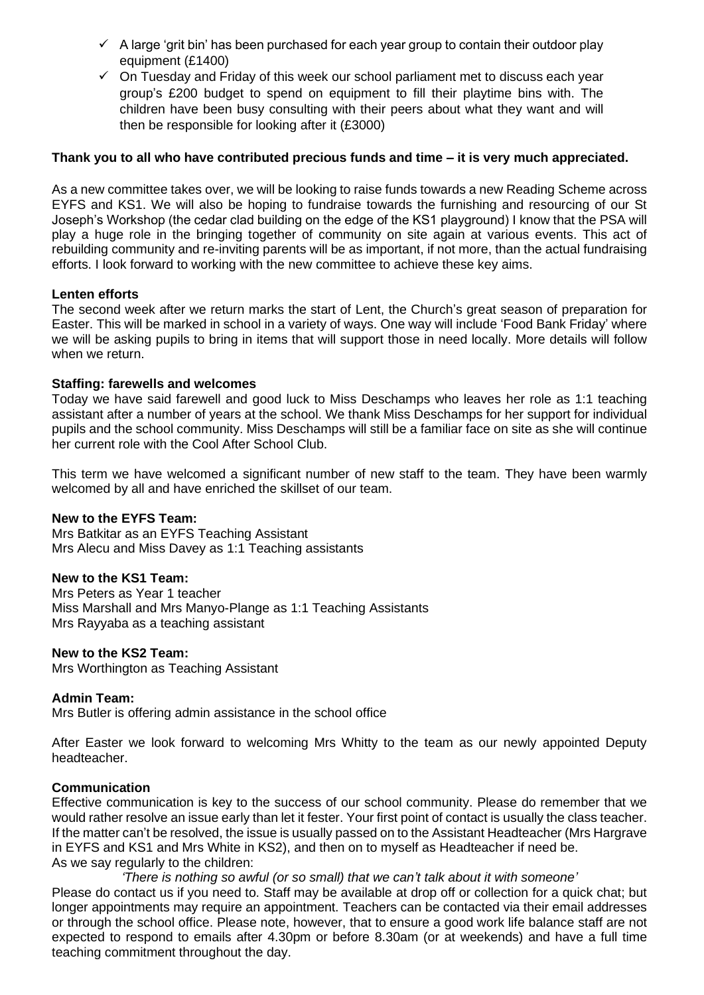- $\checkmark$  A large 'grit bin' has been purchased for each year group to contain their outdoor play equipment (£1400)
- $\checkmark$  On Tuesday and Friday of this week our school parliament met to discuss each year group's £200 budget to spend on equipment to fill their playtime bins with. The children have been busy consulting with their peers about what they want and will then be responsible for looking after it (£3000)

### **Thank you to all who have contributed precious funds and time – it is very much appreciated.**

As a new committee takes over, we will be looking to raise funds towards a new Reading Scheme across EYFS and KS1. We will also be hoping to fundraise towards the furnishing and resourcing of our St Joseph's Workshop (the cedar clad building on the edge of the KS1 playground) I know that the PSA will play a huge role in the bringing together of community on site again at various events. This act of rebuilding community and re-inviting parents will be as important, if not more, than the actual fundraising efforts. I look forward to working with the new committee to achieve these key aims.

### **Lenten efforts**

The second week after we return marks the start of Lent, the Church's great season of preparation for Easter. This will be marked in school in a variety of ways. One way will include 'Food Bank Friday' where we will be asking pupils to bring in items that will support those in need locally. More details will follow when we return.

### **Staffing: farewells and welcomes**

Today we have said farewell and good luck to Miss Deschamps who leaves her role as 1:1 teaching assistant after a number of years at the school. We thank Miss Deschamps for her support for individual pupils and the school community. Miss Deschamps will still be a familiar face on site as she will continue her current role with the Cool After School Club.

This term we have welcomed a significant number of new staff to the team. They have been warmly welcomed by all and have enriched the skillset of our team.

#### **New to the EYFS Team:**

Mrs Batkitar as an EYFS Teaching Assistant Mrs Alecu and Miss Davey as 1:1 Teaching assistants

## **New to the KS1 Team:**

Mrs Peters as Year 1 teacher Miss Marshall and Mrs Manyo-Plange as 1:1 Teaching Assistants Mrs Rayyaba as a teaching assistant

#### **New to the KS2 Team:**

Mrs Worthington as Teaching Assistant

#### **Admin Team:**

Mrs Butler is offering admin assistance in the school office

After Easter we look forward to welcoming Mrs Whitty to the team as our newly appointed Deputy headteacher.

### **Communication**

Effective communication is key to the success of our school community. Please do remember that we would rather resolve an issue early than let it fester. Your first point of contact is usually the class teacher. If the matter can't be resolved, the issue is usually passed on to the Assistant Headteacher (Mrs Hargrave in EYFS and KS1 and Mrs White in KS2), and then on to myself as Headteacher if need be. As we say regularly to the children:

*'There is nothing so awful (or so small) that we can't talk about it with someone'* Please do contact us if you need to. Staff may be available at drop off or collection for a quick chat; but longer appointments may require an appointment. Teachers can be contacted via their email addresses or through the school office. Please note, however, that to ensure a good work life balance staff are not expected to respond to emails after 4.30pm or before 8.30am (or at weekends) and have a full time teaching commitment throughout the day.